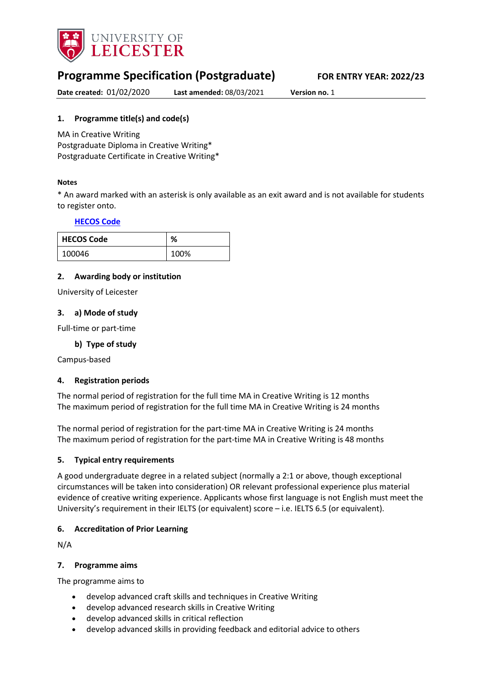

# **Programme Specification (Postgraduate) FOR ENTRY YEAR: 2022/23**

**Date created:** 01/02/2020 **Last amended:** 08/03/2021 **Version no.** 1

## <span id="page-0-0"></span>**1. Programme title(s) and code(s)**

MA in Creative Writing Postgraduate Diploma in Creative Writing\* Postgraduate Certificate in Creative Writing\*

#### **Notes**

\* An award marked with an asterisk is only available as an exit award and is not available for students to register onto.

## **[HECOS Code](https://www.hesa.ac.uk/innovation/hecos)**

| <b>HECOS Code</b> | ℅    |
|-------------------|------|
| 100046            | 100% |

## **2. Awarding body or institution**

University of Leicester

#### **3. a) Mode of study**

Full-time or part-time

## **b) Type of study**

Campus-based

## **4. Registration periods**

The normal period of registration for the full time MA in Creative Writing is 12 months The maximum period of registration for the full time MA in Creative Writing is 24 months

The normal period of registration for the part-time MA in Creative Writing is 24 months The maximum period of registration for the part-time MA in Creative Writing is 48 months

#### **5. Typical entry requirements**

A good undergraduate degree in a related subject (normally a 2:1 or above, though exceptional circumstances will be taken into consideration) OR relevant professional experience plus material evidence of creative writing experience. Applicants whose first language is not English must meet the University's requirement in their IELTS (or equivalent) score – i.e. IELTS 6.5 (or equivalent).

## **6. Accreditation of Prior Learning**

N/A

#### **7. Programme aims**

The programme aims to

- develop advanced craft skills and techniques in Creative Writing
- develop advanced research skills in Creative Writing
- develop advanced skills in critical reflection
- develop advanced skills in providing feedback and editorial advice to others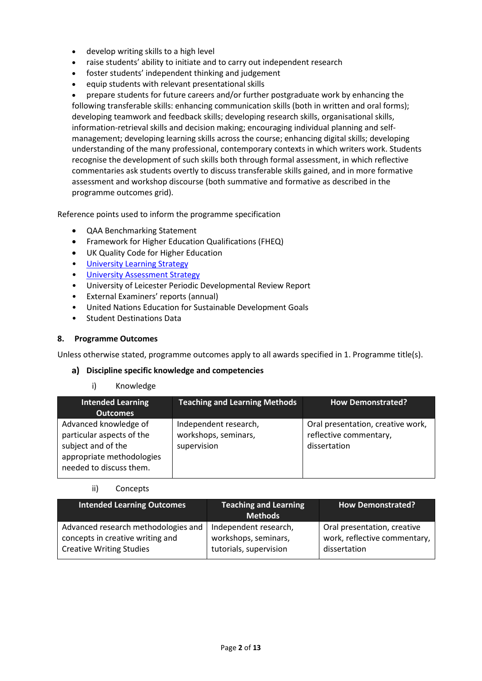- develop writing skills to a high level
- raise students' ability to initiate and to carry out independent research
- foster students' independent thinking and judgement
- equip students with relevant presentational skills

• prepare students for future careers and/or further postgraduate work by enhancing the following transferable skills: enhancing communication skills (both in written and oral forms); developing teamwork and feedback skills; developing research skills, organisational skills, information-retrieval skills and decision making; encouraging individual planning and selfmanagement; developing learning skills across the course; enhancing digital skills; developing understanding of the many professional, contemporary contexts in which writers work. Students recognise the development of such skills both through formal assessment, in which reflective commentaries ask students overtly to discuss transferable skills gained, and in more formative assessment and workshop discourse (both summative and formative as described in the programme outcomes grid).

Reference points used to inform the programme specification

- QAA Benchmarking Statement
- Framework for Higher Education Qualifications (FHEQ)
- UK Quality Code for Higher Education
- [University Learning](https://www2.le.ac.uk/offices/sas2/quality/learnteach) Strategy
- **[University Assessment Strategy](https://www2.le.ac.uk/offices/sas2/quality/learnteach)**
- University of Leicester Periodic Developmental Review Report
- External Examiners' reports (annual)
- United Nations Education for Sustainable Development Goals
- Student Destinations Data

#### **8. Programme Outcomes**

Unless otherwise stated, programme outcomes apply to all awards specified in [1.](#page-0-0) Programme title(s).

#### **Discipline specific knowledge and competencies**

#### i) Knowledge

| <b>Intended Learning</b><br><b>Outcomes</b>                                                                                      | <b>Teaching and Learning Methods</b>                         | <b>How Demonstrated?</b>                                                    |
|----------------------------------------------------------------------------------------------------------------------------------|--------------------------------------------------------------|-----------------------------------------------------------------------------|
| Advanced knowledge of<br>particular aspects of the<br>subject and of the<br>appropriate methodologies<br>needed to discuss them. | Independent research,<br>workshops, seminars,<br>supervision | Oral presentation, creative work,<br>reflective commentary,<br>dissertation |

#### ii) Concepts

| <b>Intended Learning Outcomes</b>   | Teaching and Learning<br><b>Methods</b> | <b>How Demonstrated?</b>     |
|-------------------------------------|-----------------------------------------|------------------------------|
| Advanced research methodologies and | Independent research,                   | Oral presentation, creative  |
| concepts in creative writing and    | workshops, seminars,                    | work, reflective commentary, |
| <b>Creative Writing Studies</b>     | tutorials, supervision                  | dissertation                 |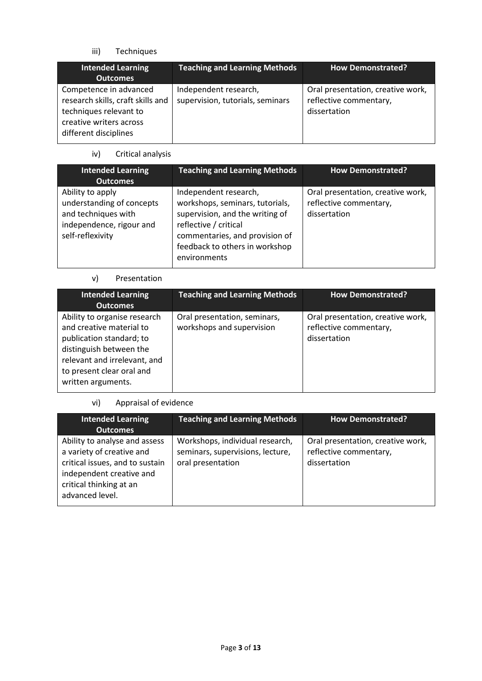iii) Techniques

| <b>Intended Learning</b><br><b>Outcomes</b>                                                                                               | <b>Teaching and Learning Methods</b>                      | <b>How Demonstrated?</b>                                                    |
|-------------------------------------------------------------------------------------------------------------------------------------------|-----------------------------------------------------------|-----------------------------------------------------------------------------|
| Competence in advanced<br>research skills, craft skills and<br>techniques relevant to<br>creative writers across<br>different disciplines | Independent research,<br>supervision, tutorials, seminars | Oral presentation, creative work,<br>reflective commentary,<br>dissertation |

iv) Critical analysis

| <b>Intended Learning</b><br><b>Outcomes</b>                                                                          | <b>Teaching and Learning Methods</b>                                                                                                                                                                     | <b>How Demonstrated?</b>                                                    |
|----------------------------------------------------------------------------------------------------------------------|----------------------------------------------------------------------------------------------------------------------------------------------------------------------------------------------------------|-----------------------------------------------------------------------------|
| Ability to apply<br>understanding of concepts<br>and techniques with<br>independence, rigour and<br>self-reflexivity | Independent research,<br>workshops, seminars, tutorials,<br>supervision, and the writing of<br>reflective / critical<br>commentaries, and provision of<br>feedback to others in workshop<br>environments | Oral presentation, creative work,<br>reflective commentary,<br>dissertation |

# v) Presentation

| <b>Intended Learning</b><br><b>Outcomes</b>                                                                                                                                                        | <b>Teaching and Learning Methods</b>                      | <b>How Demonstrated?</b>                                                    |
|----------------------------------------------------------------------------------------------------------------------------------------------------------------------------------------------------|-----------------------------------------------------------|-----------------------------------------------------------------------------|
| Ability to organise research<br>and creative material to<br>publication standard; to<br>distinguish between the<br>relevant and irrelevant, and<br>to present clear oral and<br>written arguments. | Oral presentation, seminars,<br>workshops and supervision | Oral presentation, creative work,<br>reflective commentary,<br>dissertation |

# vi) Appraisal of evidence

| <b>Intended Learning</b><br><b>Outcomes</b>                                                                                                                             | <b>Teaching and Learning Methods</b>                                                     | <b>How Demonstrated?</b>                                                    |
|-------------------------------------------------------------------------------------------------------------------------------------------------------------------------|------------------------------------------------------------------------------------------|-----------------------------------------------------------------------------|
| Ability to analyse and assess<br>a variety of creative and<br>critical issues, and to sustain<br>independent creative and<br>critical thinking at an<br>advanced level. | Workshops, individual research,<br>seminars, supervisions, lecture,<br>oral presentation | Oral presentation, creative work,<br>reflective commentary,<br>dissertation |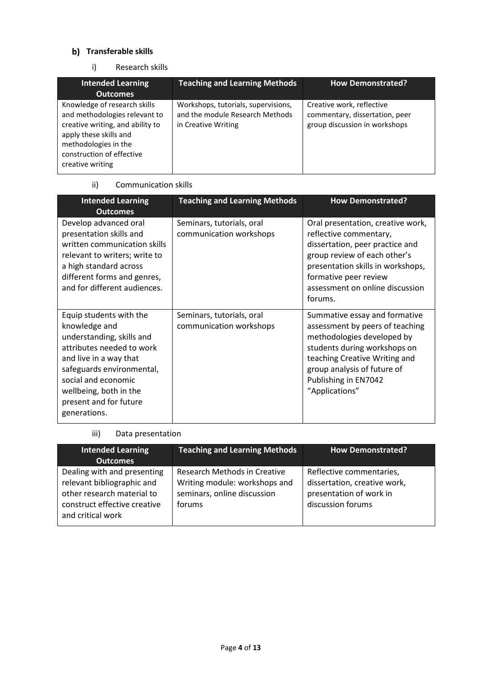# **b)** Transferable skills

## i) Research skills

| <b>Intended Learning</b>                                                                                                                                                                             | <b>Teaching and Learning Methods</b>                                                          | <b>How Demonstrated?</b>                                                                     |
|------------------------------------------------------------------------------------------------------------------------------------------------------------------------------------------------------|-----------------------------------------------------------------------------------------------|----------------------------------------------------------------------------------------------|
| <b>Outcomes</b>                                                                                                                                                                                      |                                                                                               |                                                                                              |
| Knowledge of research skills<br>and methodologies relevant to<br>creative writing, and ability to<br>apply these skills and<br>methodologies in the<br>construction of effective<br>creative writing | Workshops, tutorials, supervisions,<br>and the module Research Methods<br>in Creative Writing | Creative work, reflective<br>commentary, dissertation, peer<br>group discussion in workshops |

### ii) Communication skills

| <b>Intended Learning</b><br><b>Outcomes</b>                                                                                                                                                                                                          | <b>Teaching and Learning Methods</b>                 | <b>How Demonstrated?</b>                                                                                                                                                                                                                   |
|------------------------------------------------------------------------------------------------------------------------------------------------------------------------------------------------------------------------------------------------------|------------------------------------------------------|--------------------------------------------------------------------------------------------------------------------------------------------------------------------------------------------------------------------------------------------|
| Develop advanced oral<br>presentation skills and<br>written communication skills<br>relevant to writers; write to<br>a high standard across<br>different forms and genres,<br>and for different audiences.                                           | Seminars, tutorials, oral<br>communication workshops | Oral presentation, creative work,<br>reflective commentary,<br>dissertation, peer practice and<br>group review of each other's<br>presentation skills in workshops,<br>formative peer review<br>assessment on online discussion<br>forums. |
| Equip students with the<br>knowledge and<br>understanding, skills and<br>attributes needed to work<br>and live in a way that<br>safeguards environmental,<br>social and economic<br>wellbeing, both in the<br>present and for future<br>generations. | Seminars, tutorials, oral<br>communication workshops | Summative essay and formative<br>assessment by peers of teaching<br>methodologies developed by<br>students during workshops on<br>teaching Creative Writing and<br>group analysis of future of<br>Publishing in EN7042<br>"Applications"   |

## iii) Data presentation

| <b>Intended Learning</b><br><b>Outcomes</b>                                                                                                  | <b>Teaching and Learning Methods</b>                                                                   | <b>How Demonstrated?</b>                                                                                 |
|----------------------------------------------------------------------------------------------------------------------------------------------|--------------------------------------------------------------------------------------------------------|----------------------------------------------------------------------------------------------------------|
| Dealing with and presenting<br>relevant bibliographic and<br>other research material to<br>construct effective creative<br>and critical work | Research Methods in Creative<br>Writing module: workshops and<br>seminars, online discussion<br>forums | Reflective commentaries,<br>dissertation, creative work,<br>presentation of work in<br>discussion forums |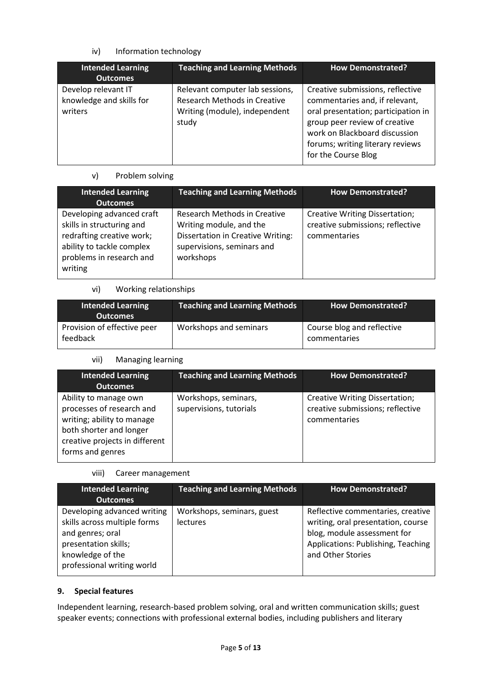# iv) Information technology

| <b>Intended Learning</b><br><b>Outcomes</b>                | <b>Teaching and Learning Methods</b>                                                                      | <b>How Demonstrated?</b>                                                                                                                                                                                                               |
|------------------------------------------------------------|-----------------------------------------------------------------------------------------------------------|----------------------------------------------------------------------------------------------------------------------------------------------------------------------------------------------------------------------------------------|
| Develop relevant IT<br>knowledge and skills for<br>writers | Relevant computer lab sessions,<br>Research Methods in Creative<br>Writing (module), independent<br>study | Creative submissions, reflective<br>commentaries and, if relevant,<br>oral presentation; participation in<br>group peer review of creative<br>work on Blackboard discussion<br>forums; writing literary reviews<br>for the Course Blog |

## v) Problem solving

| <b>Intended Learning</b><br><b>Outcomes</b>                                                                                                             | <b>Teaching and Learning Methods</b>                                                                                                           | <b>How Demonstrated?</b>                                                                  |
|---------------------------------------------------------------------------------------------------------------------------------------------------------|------------------------------------------------------------------------------------------------------------------------------------------------|-------------------------------------------------------------------------------------------|
| Developing advanced craft<br>skills in structuring and<br>redrafting creative work;<br>ability to tackle complex<br>problems in research and<br>writing | Research Methods in Creative<br>Writing module, and the<br><b>Dissertation in Creative Writing:</b><br>supervisions, seminars and<br>workshops | <b>Creative Writing Dissertation;</b><br>creative submissions; reflective<br>commentaries |

#### vi) Working relationships

| <b>Intended Learning</b><br><b>Outcomes</b> | <b>Teaching and Learning Methods</b> | <b>How Demonstrated?</b>                   |
|---------------------------------------------|--------------------------------------|--------------------------------------------|
| Provision of effective peer<br>feedback     | Workshops and seminars               | Course blog and reflective<br>commentaries |

## vii) Managing learning

| <b>Intended Learning</b><br><b>Outcomes</b>                                                                                                                       | <b>Teaching and Learning Methods</b>            | <b>How Demonstrated?</b>                                                           |
|-------------------------------------------------------------------------------------------------------------------------------------------------------------------|-------------------------------------------------|------------------------------------------------------------------------------------|
| Ability to manage own<br>processes of research and<br>writing; ability to manage<br>both shorter and longer<br>creative projects in different<br>forms and genres | Workshops, seminars,<br>supervisions, tutorials | Creative Writing Dissertation;<br>creative submissions; reflective<br>commentaries |

#### viii) Career management

| <b>Intended Learning</b><br><b>Outcomes</b>                                                                                                               | <b>Teaching and Learning Methods</b>   | <b>How Demonstrated?</b>                                                                                                                                          |
|-----------------------------------------------------------------------------------------------------------------------------------------------------------|----------------------------------------|-------------------------------------------------------------------------------------------------------------------------------------------------------------------|
| Developing advanced writing<br>skills across multiple forms<br>and genres; oral<br>presentation skills;<br>knowledge of the<br>professional writing world | Workshops, seminars, guest<br>lectures | Reflective commentaries, creative<br>writing, oral presentation, course<br>blog, module assessment for<br>Applications: Publishing, Teaching<br>and Other Stories |

## **9. Special features**

Independent learning, research-based problem solving, oral and written communication skills; guest speaker events; connections with professional external bodies, including publishers and literary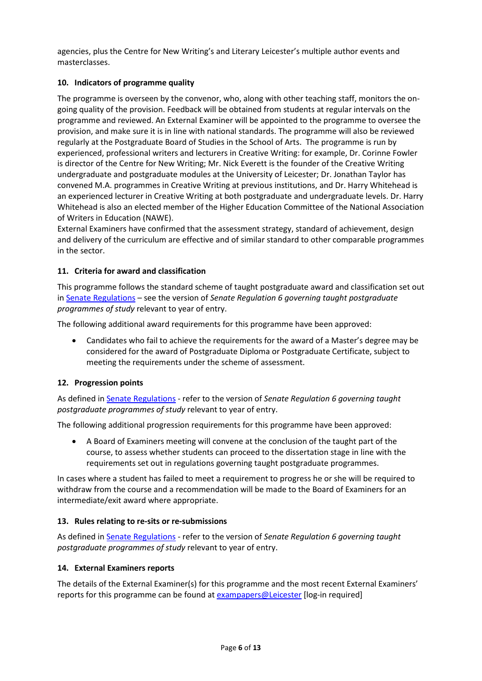agencies, plus the Centre for New Writing's and Literary Leicester's multiple author events and masterclasses.

# **10. Indicators of programme quality**

The programme is overseen by the convenor, who, along with other teaching staff, monitors the ongoing quality of the provision. Feedback will be obtained from students at regular intervals on the programme and reviewed. An External Examiner will be appointed to the programme to oversee the provision, and make sure it is in line with national standards. The programme will also be reviewed regularly at the Postgraduate Board of Studies in the School of Arts. The programme is run by experienced, professional writers and lecturers in Creative Writing: for example, Dr. Corinne Fowler is director of the Centre for New Writing; Mr. Nick Everett is the founder of the Creative Writing undergraduate and postgraduate modules at the University of Leicester; Dr. Jonathan Taylor has convened M.A. programmes in Creative Writing at previous institutions, and Dr. Harry Whitehead is an experienced lecturer in Creative Writing at both postgraduate and undergraduate levels. Dr. Harry Whitehead is also an elected member of the Higher Education Committee of the National Association of Writers in Education (NAWE).

External Examiners have confirmed that the assessment strategy, standard of achievement, design and delivery of the curriculum are effective and of similar standard to other comparable programmes in the sector.

## **11. Criteria for award and classification**

This programme follows the standard scheme of taught postgraduate award and classification set out i[n Senate Regulations](http://www.le.ac.uk/senate-regulations) – see the version of *Senate Regulation 6 governing taught postgraduate programmes of study* relevant to year of entry.

The following additional award requirements for this programme have been approved:

• Candidates who fail to achieve the requirements for the award of a Master's degree may be considered for the award of Postgraduate Diploma or Postgraduate Certificate, subject to meeting the requirements under the scheme of assessment.

## **12. Progression points**

As defined i[n Senate Regulations](http://www.le.ac.uk/senate-regulation6) - refer to the version of *Senate Regulation 6 governing taught postgraduate programmes of study* relevant to year of entry.

The following additional progression requirements for this programme have been approved:

• A Board of Examiners meeting will convene at the conclusion of the taught part of the course, to assess whether students can proceed to the dissertation stage in line with the requirements set out in regulations governing taught postgraduate programmes.

In cases where a student has failed to meet a requirement to progress he or she will be required to withdraw from the course and a recommendation will be made to the Board of Examiners for an intermediate/exit award where appropriate.

#### **13. Rules relating to re-sits or re-submissions**

As defined i[n Senate Regulations](http://www.le.ac.uk/senate-regulation6) - refer to the version of *Senate Regulation 6 governing taught postgraduate programmes of study* relevant to year of entry.

#### **14. External Examiners reports**

The details of the External Examiner(s) for this programme and the most recent External Examiners' reports for this programme can be found at **exampapers@Leicester** [log-in required]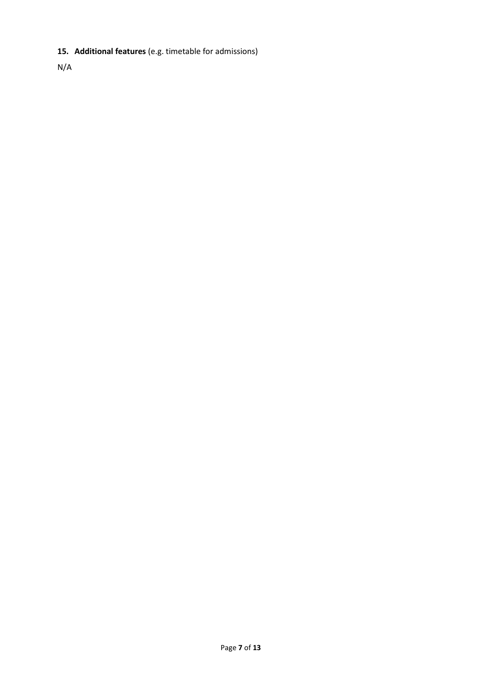# **15. Additional features** (e.g. timetable for admissions)

N/A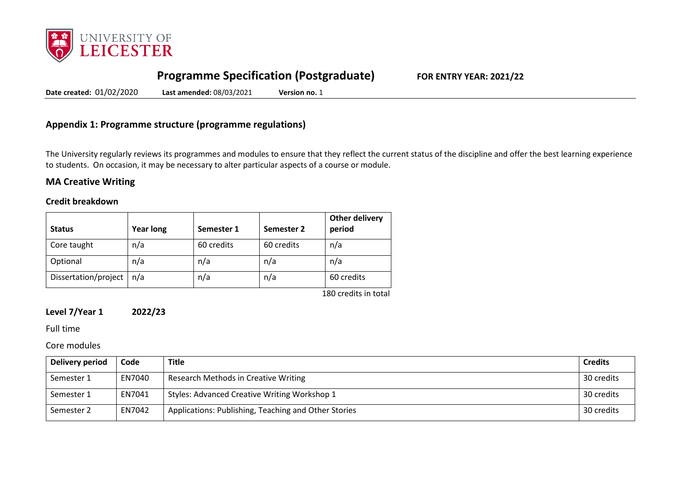

# **Programme Specification (Postgraduate) FOR ENTRY YEAR: 2021/22**

**Date created:** 01/02/2020 **Last amended:** 08/03/2021 **Version no.** 1

# **Appendix 1: Programme structure (programme regulations)**

The University regularly reviews its programmes and modules to ensure that they reflect the current status of the discipline and offer the best learning experience to students. On occasion, it may be necessary to alter particular aspects of a course or module.

## **MA Creative Writing**

#### **Credit breakdown**

| <b>Status</b>        | <b>Year long</b> | Semester 1 | Semester 2 | Other delivery<br>period |
|----------------------|------------------|------------|------------|--------------------------|
| Core taught          | n/a              | 60 credits | 60 credits | n/a                      |
| Optional             | n/a              | n/a        | n/a        | n/a                      |
| Dissertation/project | n/a              | n/a        | n/a        | 60 credits               |

180 credits in total

# **Level 7/Year 1 2022/23**

Full time

Core modules

| Delivery period | Code   | <b>Title</b>                                         | <b>Credits</b> |
|-----------------|--------|------------------------------------------------------|----------------|
| Semester 1      | EN7040 | Research Methods in Creative Writing                 | 30 credits     |
| Semester 1      | EN7041 | Styles: Advanced Creative Writing Workshop 1         | 30 credits     |
| Semester 2      | EN7042 | Applications: Publishing, Teaching and Other Stories | 30 credits     |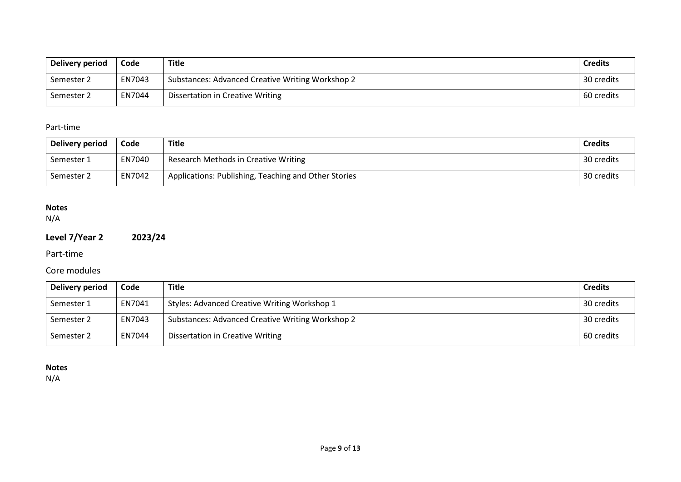| <b>Delivery period</b> | Code   | Title                                            | <b>Credits</b> |
|------------------------|--------|--------------------------------------------------|----------------|
| Semester 2             | EN7043 | Substances: Advanced Creative Writing Workshop 2 | 30 credits     |
| Semester 2             | EN7044 | Dissertation in Creative Writing                 | 60 credits     |

## Part-time

| Delivery period | Code   | <b>Title</b>                                         | <b>Credits</b> |
|-----------------|--------|------------------------------------------------------|----------------|
| Semester 1      | EN7040 | Research Methods in Creative Writing                 | 30 credits     |
| Semester 2      | EN7042 | Applications: Publishing, Teaching and Other Stories | 30 credits     |

# **Notes**

N/A

# **Level 7/Year 2 2023/24**

Part-time

# Core modules

| Delivery period | Code   | <b>Title</b>                                     | <b>Credits</b> |
|-----------------|--------|--------------------------------------------------|----------------|
| Semester 1      | EN7041 | Styles: Advanced Creative Writing Workshop 1     | 30 credits     |
| Semester 2      | EN7043 | Substances: Advanced Creative Writing Workshop 2 | 30 credits     |
| Semester 2      | EN7044 | <b>Dissertation in Creative Writing</b>          | 60 credits     |

# **Notes**

N/A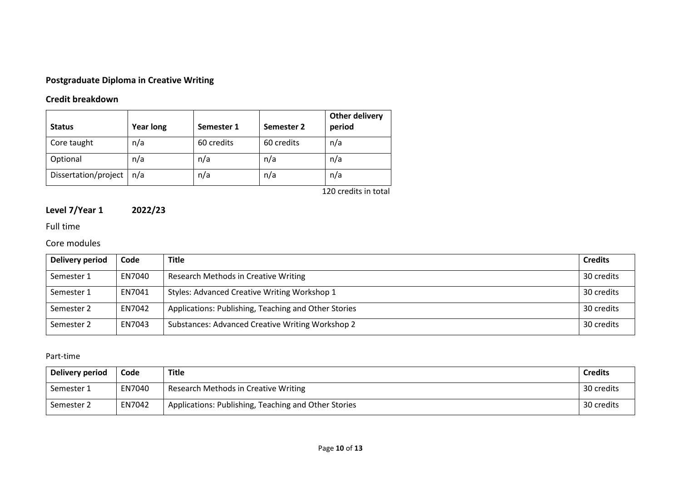# **Postgraduate Diploma in Creative Writing**

# **Credit breakdown**

| <b>Status</b>        | <b>Year long</b> | Semester 1 | Semester 2 | Other delivery<br>period |
|----------------------|------------------|------------|------------|--------------------------|
| Core taught          | n/a              | 60 credits | 60 credits | n/a                      |
| Optional             | n/a              | n/a        | n/a        | n/a                      |
| Dissertation/project | n/a              | n/a        | n/a        | n/a                      |

120 credits in total

# **Level 7/Year 1 2022/23**

# Full time

# Core modules

| Delivery period | Code   | <b>Title</b>                                         | <b>Credits</b> |
|-----------------|--------|------------------------------------------------------|----------------|
| Semester 1      | EN7040 | Research Methods in Creative Writing                 | 30 credits     |
| Semester 1      | EN7041 | Styles: Advanced Creative Writing Workshop 1         | 30 credits     |
| Semester 2      | EN7042 | Applications: Publishing, Teaching and Other Stories | 30 credits     |
| Semester 2      | EN7043 | Substances: Advanced Creative Writing Workshop 2     | 30 credits     |

# Part-time

| Delivery period | Code   | <b>Title</b>                                         | <b>Credits</b> |
|-----------------|--------|------------------------------------------------------|----------------|
| Semester 1      | EN7040 | Research Methods in Creative Writing                 | 30 credits     |
| Semester 2      | EN7042 | Applications: Publishing, Teaching and Other Stories | 30 credits     |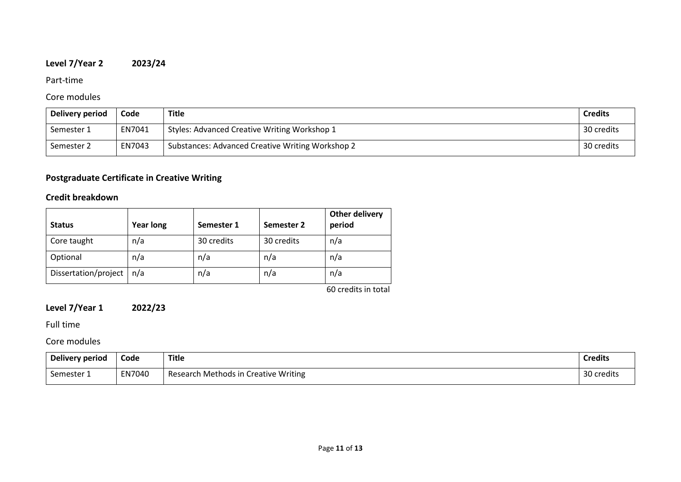# **Level 7/Year 2 2023/24**

## Part-time

# Core modules

| Delivery period | Code   | <b>Title</b>                                     | <b>Credits</b> |
|-----------------|--------|--------------------------------------------------|----------------|
| Semester 1      | EN7041 | Styles: Advanced Creative Writing Workshop 1     | 30 credits     |
| Semester 2      | EN7043 | Substances: Advanced Creative Writing Workshop 2 | 30 credits     |

# **Postgraduate Certificate in Creative Writing**

# **Credit breakdown**

| <b>Status</b>        | <b>Year long</b> | Semester 1 | Semester 2 | Other delivery<br>period |
|----------------------|------------------|------------|------------|--------------------------|
| Core taught          | n/a              | 30 credits | 30 credits | n/a                      |
| Optional             | n/a              | n/a        | n/a        | n/a                      |
| Dissertation/project | n/a              | n/a        | n/a        | n/a                      |
|                      |                  |            |            | $CD = 1.112$ and $1.112$ |

60 credits in total

# **Level 7/Year 1 2022/23**

Full time

Core modules

| Delivery period | Code   | <b>Title</b><br>___                  | <b>Credits</b> |
|-----------------|--------|--------------------------------------|----------------|
| Semester 1      | EN7040 | Research Methods in Creative Writing | 30 credits     |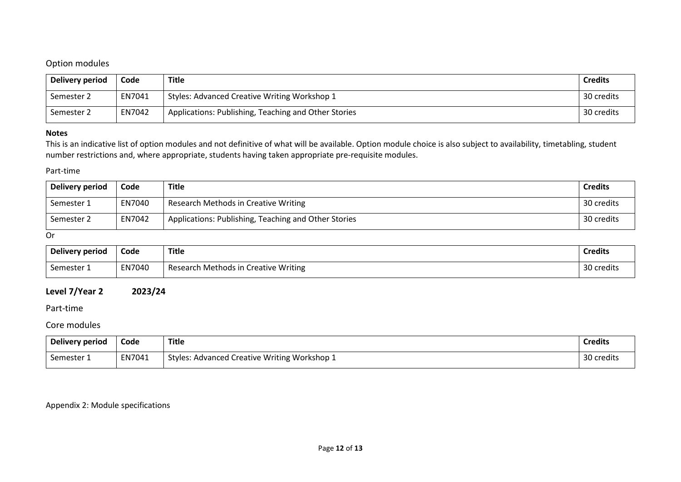# Option modules

| Delivery period | Code   | <b>Title</b>                                         | <b>Credits</b> |
|-----------------|--------|------------------------------------------------------|----------------|
| Semester 2      | EN7041 | Styles: Advanced Creative Writing Workshop 1         | 30 credits     |
| Semester 2      | EN7042 | Applications: Publishing, Teaching and Other Stories | 30 credits     |

### **Notes**

This is an indicative list of option modules and not definitive of what will be available. Option module choice is also subject to availability, timetabling, student number restrictions and, where appropriate, students having taken appropriate pre-requisite modules.

#### Part-time

| Delivery period | Code   | <b>Title</b>                                         | <b>Credits</b> |
|-----------------|--------|------------------------------------------------------|----------------|
| Semester 1      | EN7040 | Research Methods in Creative Writing                 | 30 credits     |
| Semester 2      | EN7042 | Applications: Publishing, Teaching and Other Stories | 30 credits     |

Or

| Delivery period | Code   | <b>Title</b>                         | <b>Credits</b>   |
|-----------------|--------|--------------------------------------|------------------|
| Semester 1      | EN7040 | Research Methods in Creative Writing | 2∩<br>30 credits |

## **Level 7/Year 2 2023/24**

#### Part-time

#### Core modules

| Delivery period | Code   | <b>Title</b>                                        | <b>Credits</b> |
|-----------------|--------|-----------------------------------------------------|----------------|
| Semester 1      | EN7041 | <b>Styles: Advanced Creative Writing Workshop 1</b> | 30 credits     |

## Appendix 2: Module specifications